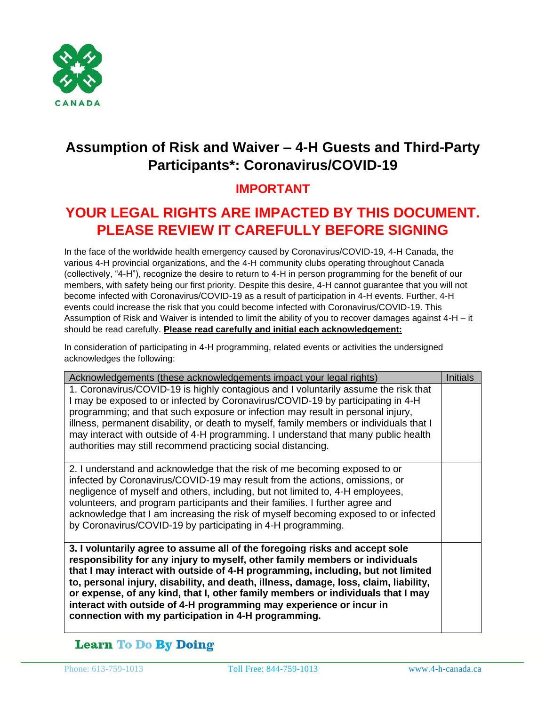

## **Assumption of Risk and Waiver – 4-H Guests and Third-Party Participants\*: Coronavirus/COVID-19**

### **IMPORTANT**

# **YOUR LEGAL RIGHTS ARE IMPACTED BY THIS DOCUMENT. PLEASE REVIEW IT CAREFULLY BEFORE SIGNING**

In the face of the worldwide health emergency caused by Coronavirus/COVID-19, 4-H Canada, the various 4-H provincial organizations, and the 4-H community clubs operating throughout Canada (collectively, "4-H"), recognize the desire to return to 4-H in person programming for the benefit of our members, with safety being our first priority. Despite this desire, 4-H cannot guarantee that you will not become infected with Coronavirus/COVID-19 as a result of participation in 4-H events. Further, 4-H events could increase the risk that you could become infected with Coronavirus/COVID-19. This Assumption of Risk and Waiver is intended to limit the ability of you to recover damages against 4-H – it should be read carefully. **Please read carefully and initial each acknowledgement:**

In consideration of participating in 4-H programming, related events or activities the undersigned acknowledges the following:

| Acknowledgements (these acknowledgements impact your legal rights)                                                                                                                                                                                                                                                                                                                                                                                                                                                                                       | Initials |
|----------------------------------------------------------------------------------------------------------------------------------------------------------------------------------------------------------------------------------------------------------------------------------------------------------------------------------------------------------------------------------------------------------------------------------------------------------------------------------------------------------------------------------------------------------|----------|
| 1. Coronavirus/COVID-19 is highly contagious and I voluntarily assume the risk that<br>I may be exposed to or infected by Coronavirus/COVID-19 by participating in 4-H<br>programming; and that such exposure or infection may result in personal injury,<br>illness, permanent disability, or death to myself, family members or individuals that I<br>may interact with outside of 4-H programming. I understand that many public health<br>authorities may still recommend practicing social distancing.                                              |          |
| 2. I understand and acknowledge that the risk of me becoming exposed to or<br>infected by Coronavirus/COVID-19 may result from the actions, omissions, or<br>negligence of myself and others, including, but not limited to, 4-H employees,<br>volunteers, and program participants and their families. I further agree and<br>acknowledge that I am increasing the risk of myself becoming exposed to or infected<br>by Coronavirus/COVID-19 by participating in 4-H programming.                                                                       |          |
| 3. I voluntarily agree to assume all of the foregoing risks and accept sole<br>responsibility for any injury to myself, other family members or individuals<br>that I may interact with outside of 4-H programming, including, but not limited<br>to, personal injury, disability, and death, illness, damage, loss, claim, liability,<br>or expense, of any kind, that I, other family members or individuals that I may<br>interact with outside of 4-H programming may experience or incur in<br>connection with my participation in 4-H programming. |          |

### **Learn To Do By Doing**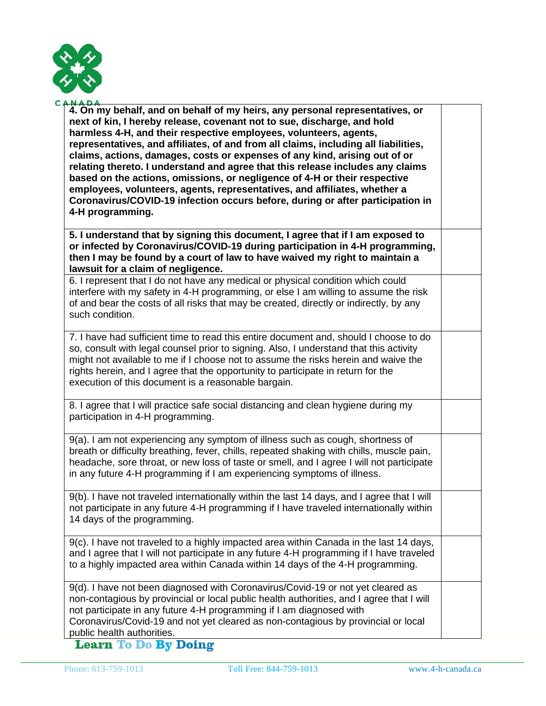

| <b>NADA</b>                                                                                                                                                                                                                                                                                                                                                                                                                                                                                                                                                                                                                                                                                                                                         |  |
|-----------------------------------------------------------------------------------------------------------------------------------------------------------------------------------------------------------------------------------------------------------------------------------------------------------------------------------------------------------------------------------------------------------------------------------------------------------------------------------------------------------------------------------------------------------------------------------------------------------------------------------------------------------------------------------------------------------------------------------------------------|--|
| 4. On my behalf, and on behalf of my heirs, any personal representatives, or<br>next of kin, I hereby release, covenant not to sue, discharge, and hold<br>harmless 4-H, and their respective employees, volunteers, agents,<br>representatives, and affiliates, of and from all claims, including all liabilities,<br>claims, actions, damages, costs or expenses of any kind, arising out of or<br>relating thereto. I understand and agree that this release includes any claims<br>based on the actions, omissions, or negligence of 4-H or their respective<br>employees, volunteers, agents, representatives, and affiliates, whether a<br>Coronavirus/COVID-19 infection occurs before, during or after participation in<br>4-H programming. |  |
| 5. I understand that by signing this document, I agree that if I am exposed to<br>or infected by Coronavirus/COVID-19 during participation in 4-H programming,<br>then I may be found by a court of law to have waived my right to maintain a<br>lawsuit for a claim of negligence.                                                                                                                                                                                                                                                                                                                                                                                                                                                                 |  |
| 6. I represent that I do not have any medical or physical condition which could<br>interfere with my safety in 4-H programming, or else I am willing to assume the risk<br>of and bear the costs of all risks that may be created, directly or indirectly, by any<br>such condition.                                                                                                                                                                                                                                                                                                                                                                                                                                                                |  |
| 7. I have had sufficient time to read this entire document and, should I choose to do<br>so, consult with legal counsel prior to signing. Also, I understand that this activity<br>might not available to me if I choose not to assume the risks herein and waive the<br>rights herein, and I agree that the opportunity to participate in return for the<br>execution of this document is a reasonable bargain.                                                                                                                                                                                                                                                                                                                                    |  |
| 8. I agree that I will practice safe social distancing and clean hygiene during my<br>participation in 4-H programming.                                                                                                                                                                                                                                                                                                                                                                                                                                                                                                                                                                                                                             |  |
| 9(a). I am not experiencing any symptom of illness such as cough, shortness of<br>breath or difficulty breathing, fever, chills, repeated shaking with chills, muscle pain,<br>headache, sore throat, or new loss of taste or smell, and I agree I will not participate<br>in any future 4-H programming if I am experiencing symptoms of illness.                                                                                                                                                                                                                                                                                                                                                                                                  |  |
| 9(b). I have not traveled internationally within the last 14 days, and I agree that I will<br>not participate in any future 4-H programming if I have traveled internationally within<br>14 days of the programming.                                                                                                                                                                                                                                                                                                                                                                                                                                                                                                                                |  |
| 9(c). I have not traveled to a highly impacted area within Canada in the last 14 days,<br>and I agree that I will not participate in any future 4-H programming if I have traveled<br>to a highly impacted area within Canada within 14 days of the 4-H programming.                                                                                                                                                                                                                                                                                                                                                                                                                                                                                |  |
| 9(d). I have not been diagnosed with Coronavirus/Covid-19 or not yet cleared as<br>non-contagious by provincial or local public health authorities, and I agree that I will<br>not participate in any future 4-H programming if I am diagnosed with<br>Coronavirus/Covid-19 and not yet cleared as non-contagious by provincial or local                                                                                                                                                                                                                                                                                                                                                                                                            |  |

public health authorities.<br>
Learn To Do By Doing